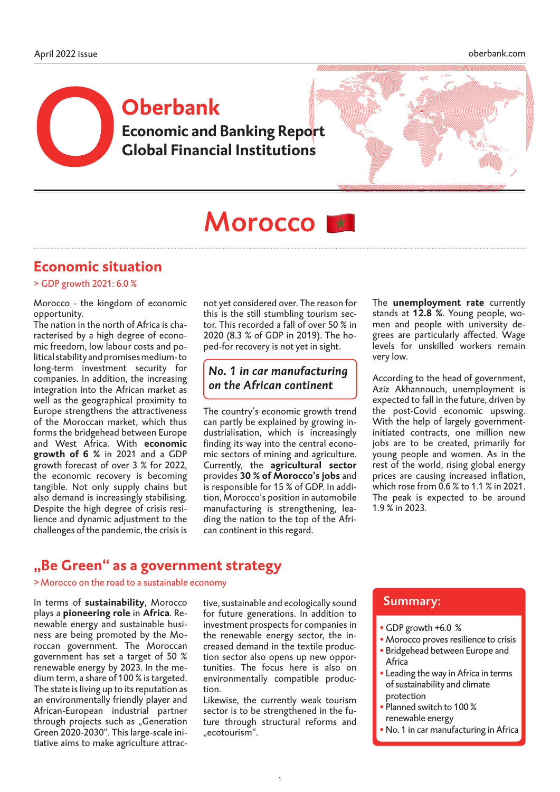# **Economic and Banking Report Global Financial Institutions Oberbank**



# Morocco<sup>1\*</sup>

# **Economic situation**

> GDP growth 2021: 6.0 %

Morocco - the kingdom of economic opportunity.

The nation in the north of Africa is characterised by a high degree of economic freedom, low labour costs and political stability and promises medium- to long-term investment security for companies. In addition, the increasing integration into the African market as well as the geographical proximity to Europe strengthens the attractiveness of the Moroccan market, which thus forms the bridgehead between Europe and West Africa. With **economic growth of 6 %** in 2021 and a GDP growth forecast of over 3 % for 2022, the economic recovery is becoming tangible. Not only supply chains but also demand is increasingly stabilising. Despite the high degree of crisis resilience and dynamic adjustment to the challenges of the pandemic, the crisis is not yet considered over. The reason for this is the still stumbling tourism sector. This recorded a fall of over 50 % in 2020 (8.3 % of GDP in 2019). The hoped-for recovery is not yet in sight.

### *No. 1 in car manufacturing on the African continent*

The country's economic growth trend can partly be explained by growing industrialisation, which is increasingly finding its way into the central economic sectors of mining and agriculture. Currently, the **agricultural sector** provides **30 % of Morocco's jobs** and is responsible for 15 % of GDP. In addition, Morocco's position in automobile manufacturing is strengthening, leading the nation to the top of the African continent in this regard.

The **unemployment rate** currently stands at **12.8 %**. Young people, women and people with university degrees are particularly affected. Wage levels for unskilled workers remain very low.

According to the head of government, Aziz Akhannouch, unemployment is expected to fall in the future, driven by the post-Covid economic upswing. With the help of largely governmentinitiated contracts, one million new jobs are to be created, primarily for young people and women. As in the rest of the world, rising global energy prices are causing increased inflation, which rose from 0.6 % to 1.1 % in 2021. The peak is expected to be around 1.9 % in 2023.

# **"Be Green" as a government strategy**

>Morocco on the road to a sustainable economy

In terms of **sustainability**, Morocco plays a **pioneering role** in **Africa**. Renewable energy and sustainable business are being promoted by the Moroccan government. The Moroccan government has set a target of 50 % renewable energy by 2023. In the medium term, a share of 100 % is targeted. The state is living up to its reputation as an environmentally friendly player and African-European industrial partner through projects such as "Generation Green 2020-2030". This large-scale initiative aims to make agriculture attractive, sustainable and ecologically sound for future generations. In addition to investment prospects for companies in the renewable energy sector, the increased demand in the textile production sector also opens up new opportunities. The focus here is also on environmentally compatible production.

Likewise, the currently weak tourism sector is to be strengthened in the future through structural reforms and "ecotourism".

### Summary:

- GDP growth +6.0 %
- Morocco proves resilience to crisis • Bridgehead between Europe and Africa
- Leading the way in Africa in terms of sustainability and climate protection
- Planned switch to 100 % renewable energy
- No. 1 in car manufacturing in Africa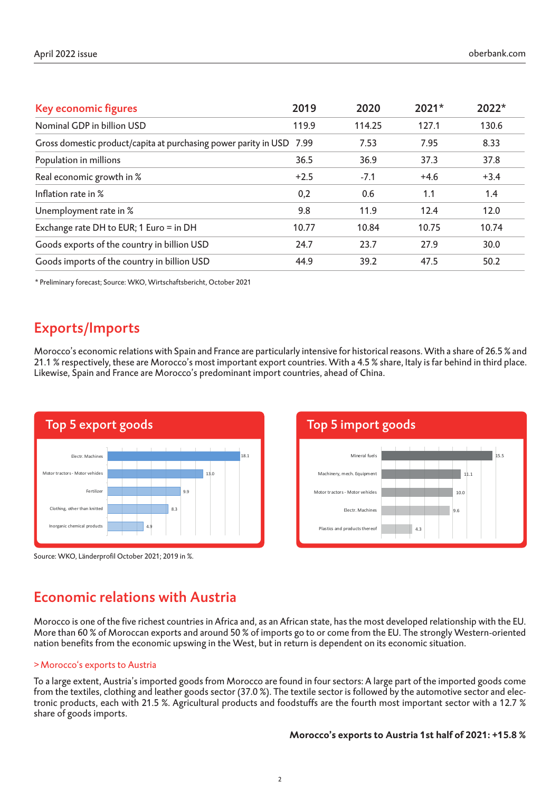| Key economic figures                                                 | 2019   | 2020   | $2021*$ | 2022*  |
|----------------------------------------------------------------------|--------|--------|---------|--------|
| Nominal GDP in billion USD                                           | 119.9  | 114.25 | 127.1   | 130.6  |
| Gross domestic product/capita at purchasing power parity in USD 7.99 |        | 7.53   | 7.95    | 8.33   |
| Population in millions                                               | 36.5   | 36.9   | 37.3    | 37.8   |
| Real economic growth in %                                            | $+2.5$ | $-7.1$ | $+4.6$  | $+3.4$ |
| Inflation rate in %                                                  | 0,2    | 0.6    | 1.1     | 1.4    |
| Unemployment rate in %                                               | 9.8    | 11.9   | 12.4    | 12.0   |
| Exchange rate DH to EUR; 1 Euro = in DH                              | 10.77  | 10.84  | 10.75   | 10.74  |
| Goods exports of the country in billion USD                          | 24.7   | 23.7   | 27.9    | 30.0   |
| Goods imports of the country in billion USD                          | 44.9   | 39.2   | 47.5    | 50.2   |

\* Preliminary forecast; Source: WKO, Wirtschaftsbericht, October 2021

# Exports/Imports

Morocco's economic relations with Spain and France are particularly intensive for historical reasons. With a share of 26.5 % and 21.1 % respectively, these are Morocco's most important export countries. With a 4.5 % share, Italy is far behind in third place. Likewise, Spain and France are Morocco's predominant import countries, ahead of China.







## Economic relations with Austria

Morocco is one of the five richest countries in Africa and, as an African state, has the most developed relationship with the EU. More than 60 % of Moroccan exports and around 50 % of imports go to or come from the EU. The strongly Western-oriented nation benefits from the economic upswing in the West, but in return is dependent on its economic situation.

#### >Morocco's exports to Austria

To a large extent, Austria's imported goods from Morocco are found in four sectors: A large part of the imported goods come from the textiles, clothing and leather goods sector (37.0 %). The textile sector is followed by the automotive sector and electronic products, each with 21.5 %. Agricultural products and foodstuffs are the fourth most important sector with a 12.7 % share of goods imports.

#### **Morocco's exports to Austria 1st half of 2021: +15.8 %**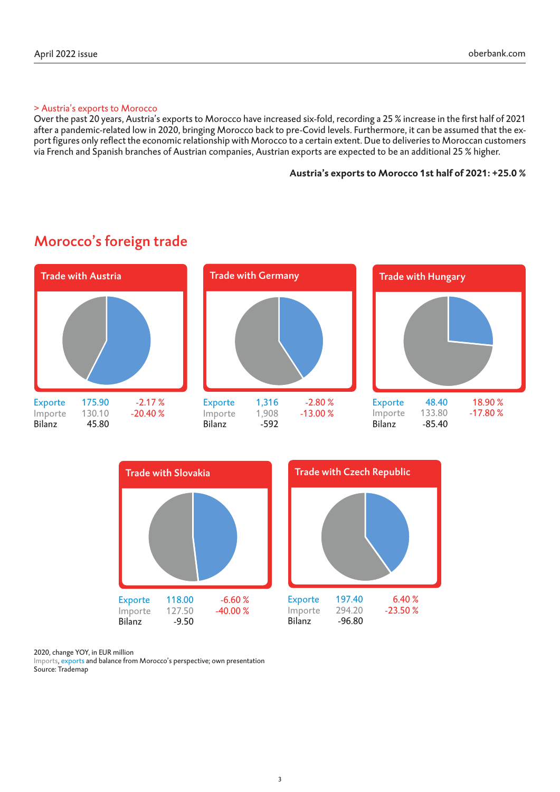#### > Austria's exports to Morocco

Over the past 20 years, Austria's exports to Morocco have increased six-fold, recording a 25 % increase in the first half of 2021 after a pandemic-related low in 2020, bringing Morocco back to pre-Covid levels. Furthermore, it can be assumed that the export figures only reflect the economic relationship with Morocco to a certain extent. Due to deliveries to Moroccan customers via French and Spanish branches of Austrian companies, Austrian exports are expected to be an additional 25 % higher.

#### **Austria's exports to Morocco 1st half of 2021: +25.0 %**



# Morocco's foreign trade



2020, change YOY, in EUR million

Imports, exports and balance from Morocco's perspective; own presentation Source: Trademap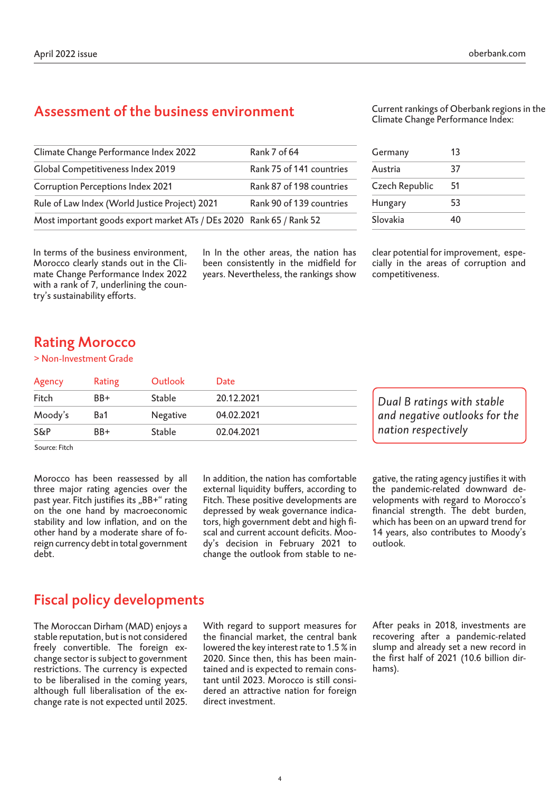# Assessment of the business environment

| Climate Change Performance Index 2022                               | Rank 7 of 64             |
|---------------------------------------------------------------------|--------------------------|
| Global Competitiveness Index 2019                                   | Rank 75 of 141 countries |
| <b>Corruption Perceptions Index 2021</b>                            | Rank 87 of 198 countries |
| Rule of Law Index (World Justice Project) 2021                      | Rank 90 of 139 countries |
| Most important goods export market ATs / DEs 2020 Rank 65 / Rank 52 |                          |

In terms of the business environment, Morocco clearly stands out in the Climate Change Performance Index 2022 with a rank of 7, underlining the country's sustainability efforts.

In In the other areas, the nation has been consistently in the midfield for years. Nevertheless, the rankings show Current rankings of Oberbank regions in the Climate Change Performance Index:

| Germany        | 13 |  |
|----------------|----|--|
| Austria        | 37 |  |
| Czech Republic | 51 |  |
| Hungary        | 53 |  |
| Slovakia       | 40 |  |

clear potential for improvement, especially in the areas of corruption and competitiveness.

## Rating Morocco

#### > Non-Investment Grade

| Agency  | Rating                 | Outlook         | Date                |                               |
|---------|------------------------|-----------------|---------------------|-------------------------------|
| Fitch   | BB+                    | <b>Stable</b>   | 20.12.2021          | Dual B ratings with stable    |
| Moody's | Ba1                    | <b>Negative</b> | 04.02.2021          | and negative outlooks for the |
| S&P     | <b>Stable</b><br>$BB+$ | 02.04.2021      | nation respectively |                               |

Source: Fitch

Morocco has been reassessed by all three major rating agencies over the past year. Fitch justifies its "BB+" rating on the one hand by macroeconomic stability and low inflation, and on the other hand by a moderate share of foreign currency debt in total government debt.

In addition, the nation has comfortable external liquidity buffers, according to Fitch. These positive developments are depressed by weak governance indicators, high government debt and high fiscal and current account deficits. Moody's decision in February 2021 to change the outlook from stable to ne-

gative, the rating agency justifies it with the pandemic-related downward developments with regard to Morocco's financial strength. The debt burden, which has been on an upward trend for 14 years, also contributes to Moody's outlook.

## Fiscal policy developments

The Moroccan Dirham (MAD) enjoys a stable reputation, but is not considered freely convertible. The foreign exchange sector is subject to government restrictions. The currency is expected to be liberalised in the coming years, although full liberalisation of the exchange rate is not expected until 2025.

With regard to support measures for the financial market, the central bank lowered the key interest rate to 1.5 % in 2020. Since then, this has been maintained and is expected to remain constant until 2023. Morocco is still considered an attractive nation for foreign direct investment.

After peaks in 2018, investments are recovering after a pandemic-related slump and already set a new record in the first half of 2021 (10.6 billion dirhams).